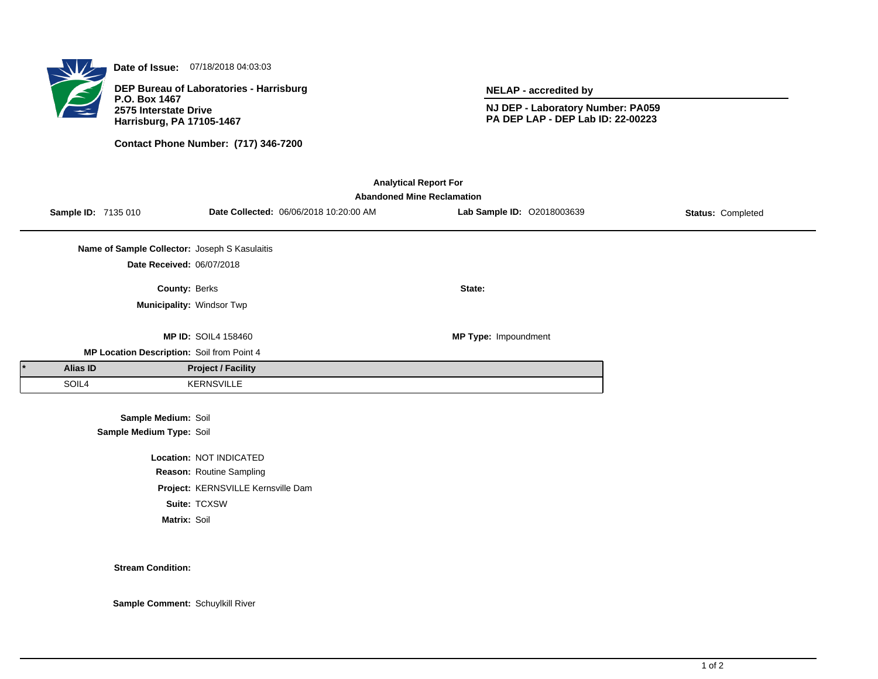

**Date of Issue:** 07/18/2018 04:03:03

**DEP Bureau of Laboratories - Harrisburg P.O. Box 1467 2575 Interstate Drive Harrisburg, PA 17105-1467**

**Contact Phone Number: (717) 346-7200**

**NELAP - accredited by**

**NJ DEP - Laboratory Number: PA059 PA DEP LAP - DEP Lab ID: 22-00223**

| <b>Analytical Report For</b><br><b>Abandoned Mine Reclamation</b> |                 |                                               |                                    |                                        |                             |                   |  |  |  |
|-------------------------------------------------------------------|-----------------|-----------------------------------------------|------------------------------------|----------------------------------------|-----------------------------|-------------------|--|--|--|
|                                                                   |                 | Sample ID: 7135 010                           |                                    | Date Collected: 06/06/2018 10:20:00 AM | Lab Sample ID: 02018003639  | Status: Completed |  |  |  |
|                                                                   |                 | Name of Sample Collector: Joseph S Kasulaitis |                                    |                                        |                             |                   |  |  |  |
|                                                                   |                 | Date Received: 06/07/2018                     |                                    |                                        |                             |                   |  |  |  |
|                                                                   |                 | County: Berks                                 |                                    |                                        | State:                      |                   |  |  |  |
|                                                                   |                 | Municipality: Windsor Twp                     |                                    |                                        |                             |                   |  |  |  |
|                                                                   |                 |                                               | <b>MP ID: SOIL4 158460</b>         |                                        | <b>MP Type: Impoundment</b> |                   |  |  |  |
|                                                                   |                 | MP Location Description: Soil from Point 4    |                                    |                                        |                             |                   |  |  |  |
|                                                                   | <b>Alias ID</b> |                                               | <b>Project / Facility</b>          |                                        |                             |                   |  |  |  |
|                                                                   | SOIL4           |                                               | <b>KERNSVILLE</b>                  |                                        |                             |                   |  |  |  |
|                                                                   |                 | Sample Medium: Soil                           |                                    |                                        |                             |                   |  |  |  |
|                                                                   |                 | Sample Medium Type: Soil                      |                                    |                                        |                             |                   |  |  |  |
|                                                                   |                 |                                               | Location: NOT INDICATED            |                                        |                             |                   |  |  |  |
|                                                                   |                 |                                               | Reason: Routine Sampling           |                                        |                             |                   |  |  |  |
|                                                                   |                 |                                               | Project: KERNSVILLE Kernsville Dam |                                        |                             |                   |  |  |  |

**Suite:** TCXSW

**Matrix:** Soil

**Stream Condition:**

**Sample Comment:** Schuylkill River